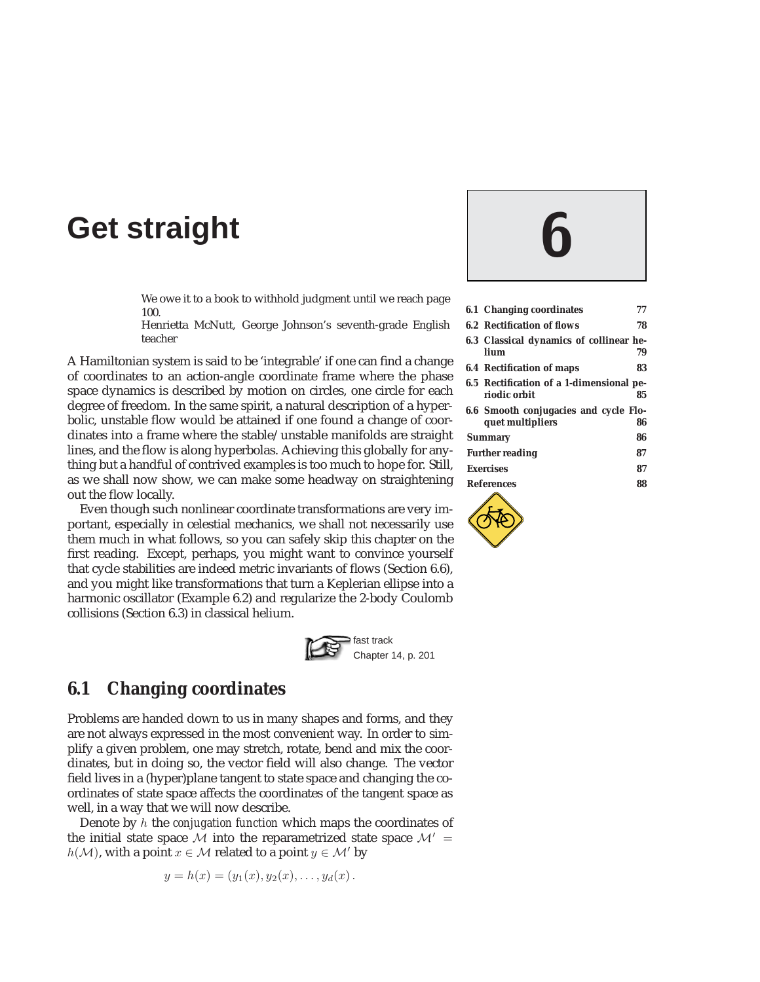# **Get straight 6**

We owe it to a book to withhold judgment until we reach page 100.

Henrietta McNutt, George Johnson's seventh-grade English teacher

A Hamiltonian system is said to be 'integrable' if one can find a change of coordinates to an action-angle coordinate frame where the phase space dynamics is described by motion on circles, one circle for each degree of freedom. In the same spirit, a natural description of a hyperbolic, unstable flow would be attained if one found a change of coordinates into a frame where the stable/unstable manifolds are straight lines, and the flow is along hyperbolas. Achieving this globally for anything but a handful of contrived examples is too much to hope for. Still, as we shall now show, we can make some headway on straightening out the flow locally.

Even though such nonlinear coordinate transformations are very important, especially in celestial mechanics, we shall not necessarily use them much in what follows, so you can safely skip this chapter on the first reading. Except, perhaps, you might want to convince yourself that cycle stabilities are indeed metric invariants of flows (Section 6.6), and you might like transformations that turn a Keplerian ellipse into a harmonic oscillator (Example 6.2) and regularize the 2-body Coulomb collisions (Section 6.3) in classical helium.



## **6.1 Changing coordinates**

Problems are handed down to us in many shapes and forms, and they are not always expressed in the most convenient way. In order to simplify a given problem, one may stretch, rotate, bend and mix the coordinates, but in doing so, the vector field will also change. The vector field lives in a (hyper)plane tangent to state space and changing the coordinates of state space affects the coordinates of the tangent space as well, in a way that we will now describe.

Denote by h the *conjugation function* which maps the coordinates of the initial state space M into the reparametrized state space  $\mathcal{M}' =$  $h(\mathcal{M})$ , with a point  $x \in \mathcal{M}$  related to a point  $y \in \mathcal{M}'$  by

$$
y = h(x) = (y_1(x), y_2(x), \ldots, y_d(x)).
$$

|                              | 6.1 Changing coordinates                                  | 77 |
|------------------------------|-----------------------------------------------------------|----|
|                              | <b>6.2 Rectification of flows</b>                         | 78 |
|                              | 6.3 Classical dynamics of collinear he-<br>lium           | 79 |
|                              | <b>6.4 Rectification of maps</b>                          | 83 |
|                              | 6.5 Rectification of a 1-dimensional pe-<br>riodic orbit  | 85 |
|                              | 6.6 Smooth conjugacies and cycle Flo-<br>quet multipliers | 86 |
| 86<br><b>Summary</b>         |                                                           |    |
| <b>Further reading</b><br>87 |                                                           |    |
|                              | 87<br><b>Exercises</b>                                    |    |
| <b>References</b>            |                                                           | 88 |
|                              |                                                           |    |

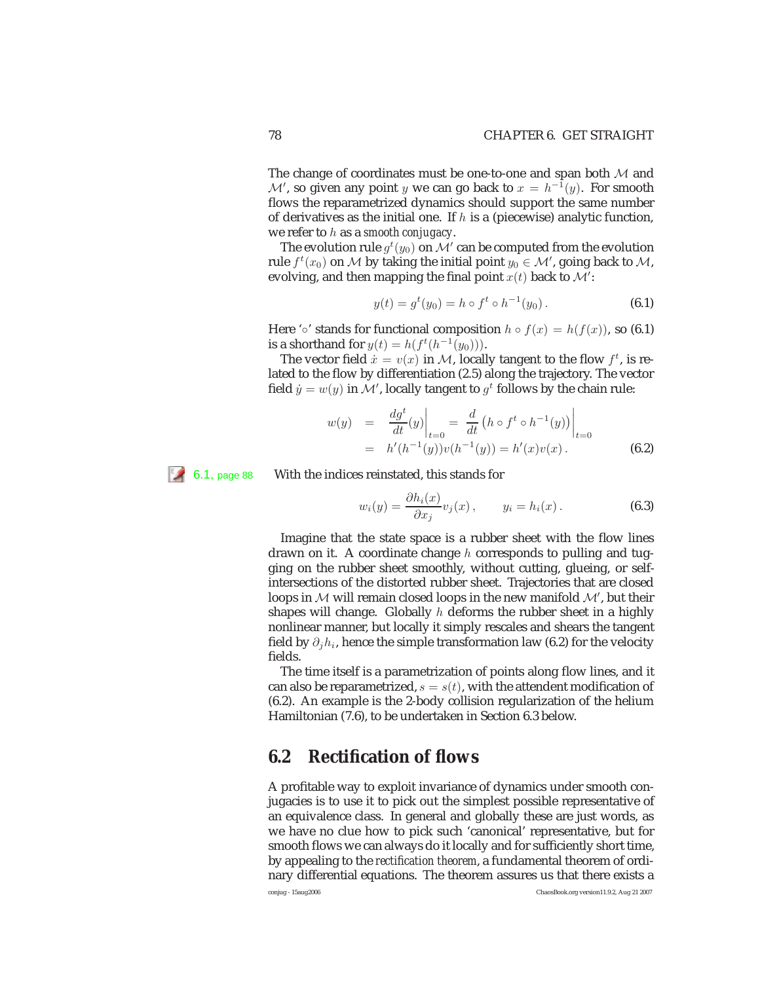The change of coordinates must be one-to-one and span both  $M$  and  $\mathcal{M}'$ , so given any point y we can go back to  $x = h^{-1}(y)$ . For smooth flows the reparametrized dynamics should support the same number of derivatives as the initial one. If  $h$  is a (piecewise) analytic function, we refer to h as a *smooth conjugacy*.

The evolution rule  $g^t(y_0)$  on  $\mathcal{M}'$  can be computed from the evolution rule  $f^t(x_0)$  on M by taking the initial point  $y_0 \in \mathcal{M}'$ , going back to M, evolving, and then mapping the final point  $x(t)$  back to  $\mathcal{M}'$ :

$$
y(t) = gt(y0) = h \circ ft \circ h-1(y0) .
$$
 (6.1)

Here '◦' stands for functional composition  $h \circ f(x) = h(f(x))$ , so (6.1) is a shorthand for  $y(t) = h(f^t(h^{-1}(y_0))).$ 

The vector field  $\hat{x} = v(x)$  in M, locally tangent to the flow  $f^t$ , is related to the flow by differentiation (2.5) along the trajectory. The vector field  $\dot{y} = w(y)$  in  $\dot{\cal M}'$ , locally tangent to  $g^t$  follows by the chain rule:

$$
w(y) = \frac{dg^{t}}{dt}(y)\Big|_{t=0} = \frac{d}{dt} (h \circ f^{t} \circ h^{-1}(y))\Big|_{t=0}
$$
  
=  $h'(h^{-1}(y))v(h^{-1}(y)) = h'(x)v(x).$  (6.2)

6.1, page 88 With the indices reinstated, this stands for

$$
w_i(y) = \frac{\partial h_i(x)}{\partial x_j} v_j(x), \qquad y_i = h_i(x).
$$
 (6.3)

Imagine that the state space is a rubber sheet with the flow lines drawn on it. A coordinate change  $h$  corresponds to pulling and tugging on the rubber sheet smoothly, without cutting, glueing, or selfintersections of the distorted rubber sheet. Trajectories that are closed loops in  $M$  will remain closed loops in the new manifold  $M'$ , but their shapes will change. Globally  $h$  deforms the rubber sheet in a highly nonlinear manner, but locally it simply rescales and shears the tangent field by  $\partial_i h_i$ , hence the simple transformation law (6.2) for the velocity fields.

The time itself is a parametrization of points along flow lines, and it can also be reparametrized,  $s = s(t)$ , with the attendent modification of (6.2). An example is the 2-body collision regularization of the helium Hamiltonian (7.6), to be undertaken in Section 6.3 below.

### **6.2 Rectification of flows**

A profitable way to exploit invariance of dynamics under smooth conjugacies is to use it to pick out the simplest possible representative of an equivalence class. In general and globally these are just words, as we have no clue how to pick such 'canonical' representative, but for smooth flows we can always do it locally and for sufficiently short time, by appealing to the *rectification theorem*, a fundamental theorem of ordinary differential equations. The theorem assures us that there exists a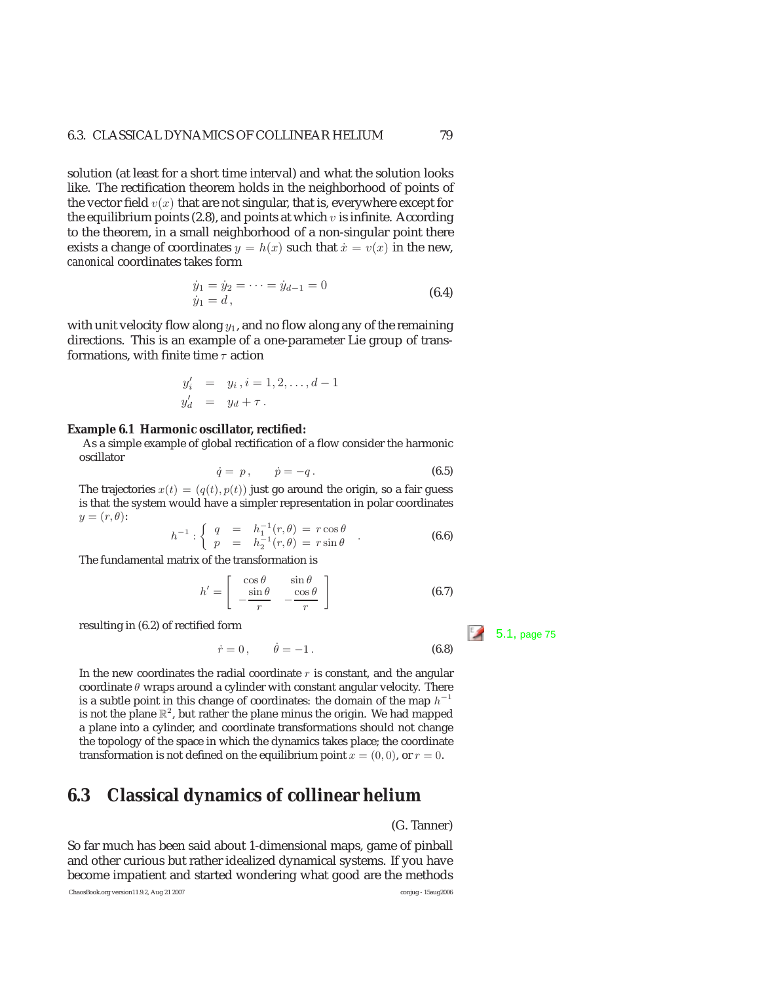solution (at least for a short time interval) and what the solution looks like. The rectification theorem holds in the neighborhood of points of the vector field  $v(x)$  that are not singular, that is, everywhere except for the equilibrium points (2.8), and points at which  $v$  is infinite. According to the theorem, in a small neighborhood of a non-singular point there exists a change of coordinates  $y = h(x)$  such that  $\dot{x} = v(x)$  in the new, *canonical* coordinates takes form

$$
\dot{y}_1 = \dot{y}_2 = \dots = \dot{y}_{d-1} = 0
$$
\n
$$
\dot{y}_1 = d,
$$
\n(6.4)

with unit velocity flow along  $y_1$ , and no flow along any of the remaining directions. This is an example of a one-parameter Lie group of transformations, with finite time  $\tau$  action

$$
y'_i = y_i, i = 1, 2, ..., d - 1
$$
  
\n $y'_d = y_d + \tau.$ 

#### **Example 6.1 Harmonic oscillator, rectified:**

As a simple example of global rectification of a flow consider the harmonic oscillator

$$
\dot{q} = p, \qquad \dot{p} = -q. \tag{6.5}
$$

The trajectories  $x(t)=(q(t), p(t))$  just go around the origin, so a fair guess<br>is that the system would have a simpler representation in polar coordinates is that the system would have a simpler representation in polar coordinates  $y=(r,\theta)$ :

$$
h^{-1}: \begin{cases} q = h_1^{-1}(r,\theta) = r\cos\theta \\ p = h_2^{-1}(r,\theta) = r\sin\theta \end{cases}
$$
 (6.6)  
The fundamental matrix of the transformation is

$$
h' = \begin{bmatrix} \cos \theta & \sin \theta \\ -\frac{\sin \theta}{r} & -\frac{\cos \theta}{r} \end{bmatrix}
$$
 (6.7)

resulting in (6.2) of rectified form  $\begin{array}{|c|c|c|c|c|c|c|c|c|} \hline \end{array}$  5.1, page 75

$$
\dot{r} = 0, \quad \dot{\theta} = -1.
$$
\n(6.8)

In the new coordinates the radial coordinate  $r$  is constant, and the angular coordinate  $\theta$  wraps around a cylinder with constant angular velocity. There is a subtle point in this change of coordinates: the domain of the map  $h^{-1}$ is not the plane  $\mathbb{R}^2$ , but rather the plane minus the origin. We had mapped a plane into a cylinder, and coordinate transformations should not change the topology of the space in which the dynamics takes place; the coordinate transformation is not defined on the equilibrium point  $x = (0, 0)$ , or  $r = 0$ .

### **6.3 Classical dynamics of collinear helium**

#### (G. Tanner)

So far much has been said about 1-dimensional maps, game of pinball and other curious but rather idealized dynamical systems. If you have become impatient and started wondering what good are the methods

ChaosBook.org version11.9.2, Aug 21 2007 conjug - 15aug2006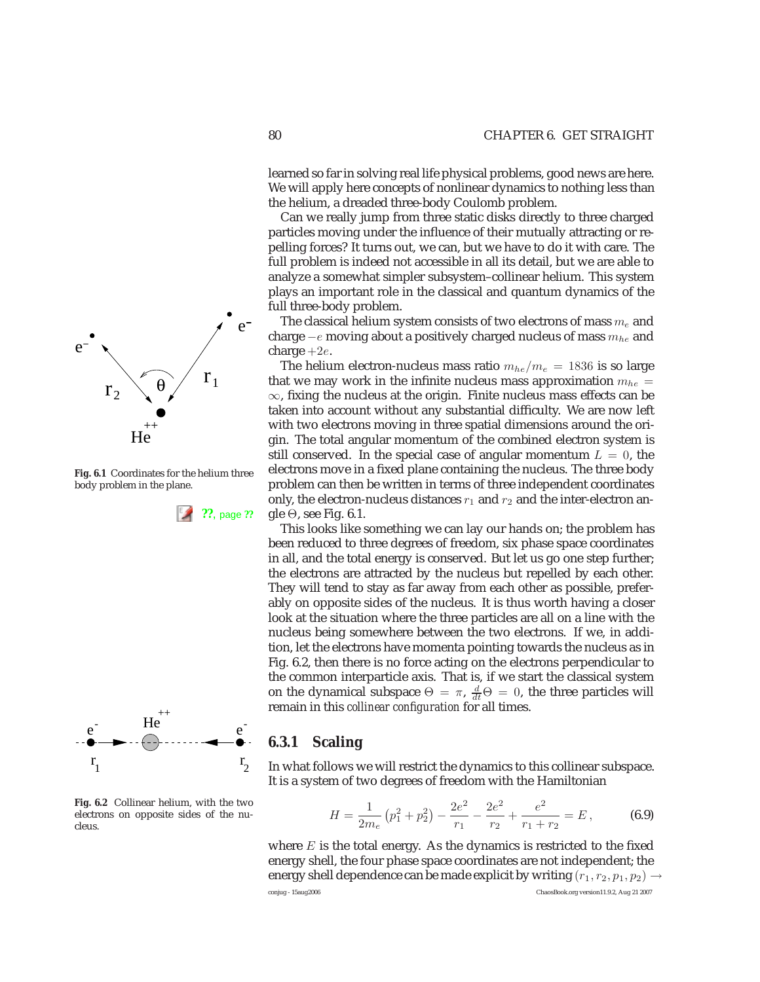learned so far in solving real life physical problems, good news are here. We will apply here concepts of nonlinear dynamics to nothing less than the helium, a dreaded three-body Coulomb problem.

Can we really jump from three static disks directly to three charged particles moving under the influence of their mutually attracting or repelling forces? It turns out, we can, but we have to do it with care. The full problem is indeed not accessible in all its detail, but we are able to analyze a somewhat simpler subsystem–collinear helium. This system plays an important role in the classical and quantum dynamics of the full three-body problem.

The classical helium system consists of two electrons of mass  $m_e$  and charge  $-e$  moving about a positively charged nucleus of mass  $m_{he}$  and charge  $+2e$ .

The helium electron-nucleus mass ratio  $m_{he}/m_e = 1836$  is so large that we may work in the infinite nucleus mass approximation  $m_{he} =$ ∞, fixing the nucleus at the origin. Finite nucleus mass effects can be taken into account without any substantial difficulty. We are now left with two electrons moving in three spatial dimensions around the origin. The total angular momentum of the combined electron system is still conserved. In the special case of angular momentum  $L = 0$ , the electrons move in a fixed plane containing the nucleus. The three body problem can then be written in terms of three independent coordinates only, the electron-nucleus distances  $r_1$  and  $r_2$  and the inter-electron an-**??**, page **??** gle Θ, see Fig. 6.1.

> This looks like something we can lay our hands on; the problem has been reduced to three degrees of freedom, six phase space coordinates in all, and the total energy is conserved. But let us go one step further; the electrons are attracted by the nucleus but repelled by each other. They will tend to stay as far away from each other as possible, preferably on opposite sides of the nucleus. It is thus worth having a closer look at the situation where the three particles are all on a line with the nucleus being somewhere between the two electrons. If we, in addition, let the electrons have momenta pointing towards the nucleus as in Fig. 6.2, then there is no force acting on the electrons perpendicular to the common interparticle axis. That is, if we start the classical system on the dynamical subspace  $\Theta = \pi$ ,  $\frac{d}{dt}\Theta = 0$ , the three particles will remain in this *collinear configuration* for all times.

### **6.3.1 Scaling**

hat follows we will restrict the dynamics to this collinear subspace. a system of two degrees of freedom with the Hamiltonian

$$
H = \frac{1}{2m_e} \left( p_1^2 + p_2^2 \right) - \frac{2e^2}{r_1} - \frac{2e^2}{r_2} + \frac{e^2}{r_1 + r_2} = E \,, \tag{6.9}
$$

where  $E$  is the total energy. As the dynamics is restricted to the fixed energy shell, the four phase space coordinates are not independent; the energy shell dependence can be made explicit by writing  $(r_1, r_2, p_1, p_2) \rightarrow$ 

$$
\begin{array}{cc}\n r_1 & & r_2 \\
\text{It is a}\n \end{array}
$$



 $He$   $a^2$ ++  $e^-$  if  $e^-$ 

conjug - 15aug2006 ChaosBook.org version11.9.2, Aug 21 2007



**Fig. 6.1** Coordinates for the helium three body problem in the plane.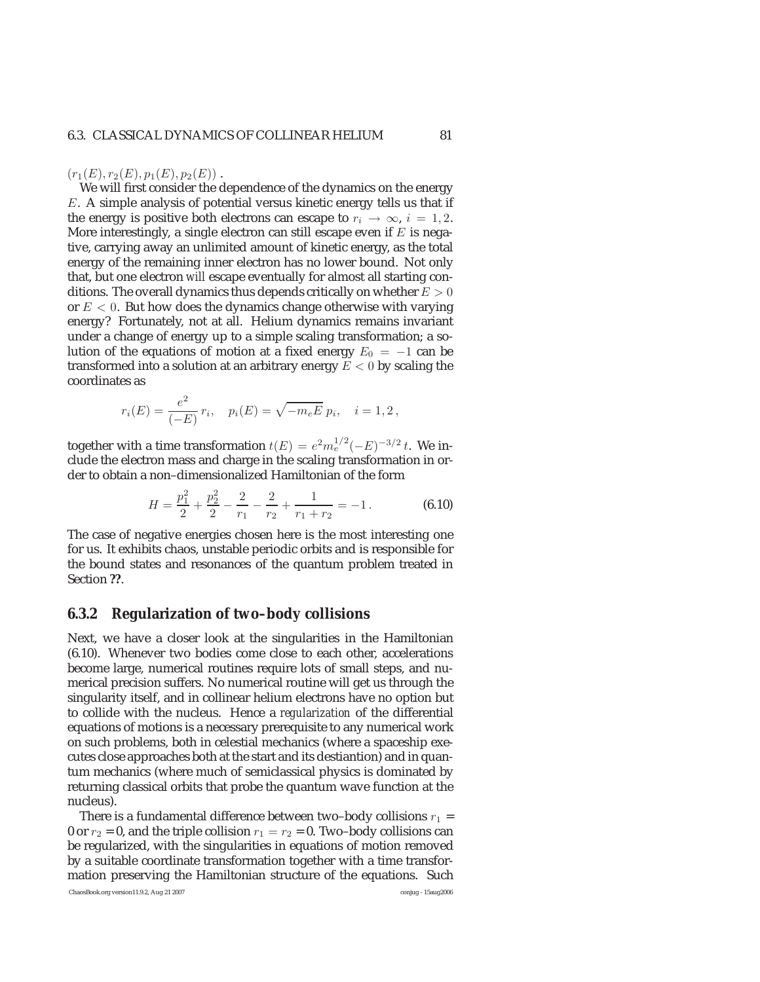#### $(r_1(E), r_2(E), p_1(E), p_2(E))$ .

We will first consider the dependence of the dynamics on the energy E. A simple analysis of potential versus kinetic energy tells us that if the energy is positive both electrons can escape to  $r_i \rightarrow \infty$ ,  $i = 1, 2$ . More interestingly, a single electron can still escape even if  $E$  is negative, carrying away an unlimited amount of kinetic energy, as the total energy of the remaining inner electron has no lower bound. Not only that, but one electron *will* escape eventually for almost all starting conditions. The overall dynamics thus depends critically on whether  $E > 0$ or  $E < 0$ . But how does the dynamics change otherwise with varying energy? Fortunately, not at all. Helium dynamics remains invariant under a change of energy up to a simple scaling transformation; a solution of the equations of motion at a fixed energy  $E_0 = -1$  can be transformed into a solution at an arbitrary energy  $E < 0$  by scaling the coordinates as

$$
r_i(E) = \frac{e^2}{(-E)} r_i, \quad p_i(E) = \sqrt{-m_e E} p_i, \quad i = 1, 2,
$$

together with a time transformation  $t(E) = e^2 m_e^{1/2} (-E)^{-3/2} t$ . We include the electron mass and charge in the scaling transformation in order to obtain a non–dimensionalized Hamiltonian of the form

$$
H = \frac{p_1^2}{2} + \frac{p_2^2}{2} - \frac{2}{r_1} - \frac{2}{r_2} + \frac{1}{r_1 + r_2} = -1.
$$
 (6.10)

The case of negative energies chosen here is the most interesting one for us. It exhibits chaos, unstable periodic orbits and is responsible for the bound states and resonances of the quantum problem treated in Section **??**.

#### **6.3.2 Regularization of two–body collisions**

Next, we have a closer look at the singularities in the Hamiltonian (6.10). Whenever two bodies come close to each other, accelerations become large, numerical routines require lots of small steps, and numerical precision suffers. No numerical routine will get us through the singularity itself, and in collinear helium electrons have no option but to collide with the nucleus. Hence a *regularization* of the differential equations of motions is a necessary prerequisite to any numerical work on such problems, both in celestial mechanics (where a spaceship executes close approaches both at the start and its destiantion) and in quantum mechanics (where much of semiclassical physics is dominated by returning classical orbits that probe the quantum wave function at the nucleus).

There is a fundamental difference between two–body collisions  $r_1$  = 0 or  $r_2$  = 0, and the triple collision  $r_1 = r_2 = 0$ . Two–body collisions can be regularized, with the singularities in equations of motion removed by a suitable coordinate transformation together with a time transformation preserving the Hamiltonian structure of the equations. Such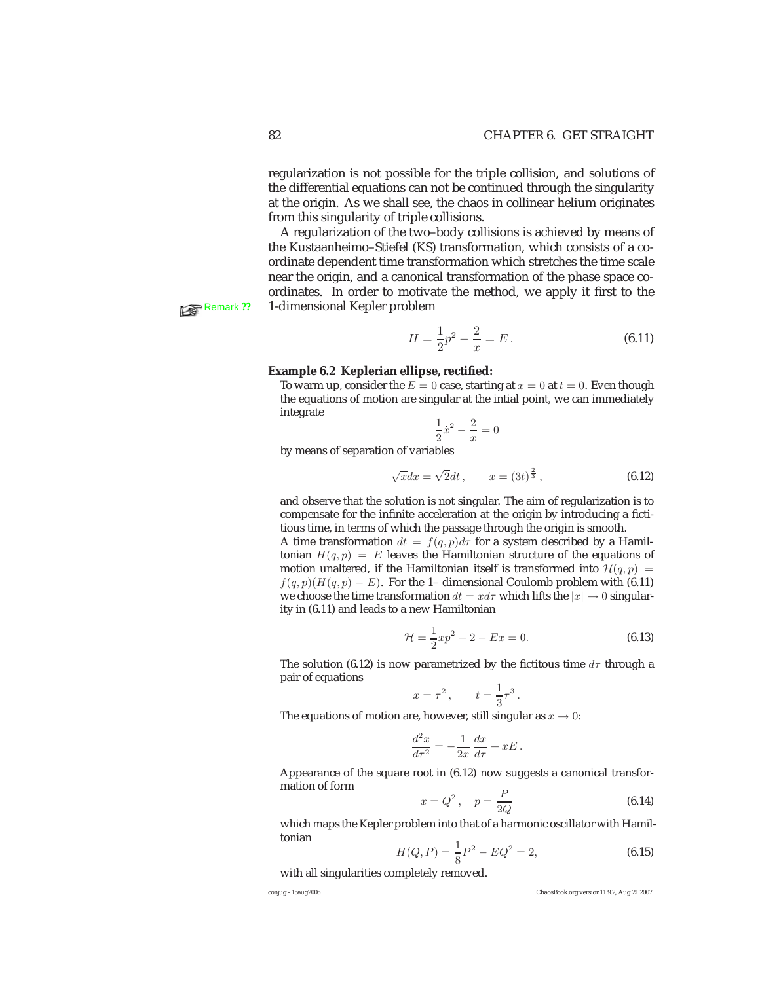regularization is not possible for the triple collision, and solutions of the differential equations can not be continued through the singularity at the origin. As we shall see, the chaos in collinear helium originates from this singularity of triple collisions.

A regularization of the two–body collisions is achieved by means of the Kustaanheimo–Stiefel (KS) transformation, which consists of a coordinate dependent time transformation which stretches the time scale near the origin, and a canonical transformation of the phase space coordinates. In order to motivate the method, we apply it first to the **Remark ??** 1-dimensional Kepler problem

$$
H = \frac{1}{2}p^2 - \frac{2}{x} = E.
$$
 (6.11)

#### **Example 6.2 Keplerian ellipse, rectified:**

To warm up, consider the  $E = 0$  case, starting at  $x = 0$  at  $t = 0$ . Even though the equations of motion are singular at the intial point, we can immediately integrate

$$
\frac{1}{2}\dot{x}^2 - \frac{2}{x} = 0
$$

by means of separation of variables

$$
\sqrt{x}dx = \sqrt{2}dt
$$
,  $x = (3t)^{\frac{2}{3}}$ , (6.12)

and observe that the solution is not singular. The aim of regularization is to compensate for the infinite acceleration at the origin by introducing a fictitious time, in terms of which the passage through the origin is smooth.

A time transformation  $dt = f(q, p)d\tau$  for a system described by a Hamiltonian  $H(q, p) = E$  leaves the Hamiltonian structure of the equations of motion unaltered, if the Hamiltonian itself is transformed into  $\mathcal{H}(q, p)$  =  $f(q, p)(H(q, p) - E)$ . For the 1– dimensional Coulomb problem with (6.11) we choose the time transformation  $dt = x d\tau$  which lifts the  $|x| \to 0$  singularity in (6.11) and leads to a new Hamiltonian

$$
\mathcal{H} = \frac{1}{2}xp^2 - 2 - Ex = 0.
$$
 (6.13)

The solution (6.12) is now parametrized by the fictitous time  $d\tau$  through a pair of equations

$$
x = \tau^2, \qquad t = \frac{1}{3}\tau^3.
$$

The equations of motion are, however, still singular as  $x \to 0$ :

$$
\frac{d^2x}{d\tau^2} = -\frac{1}{2x}\frac{dx}{d\tau} + xE.
$$

Appearance of the square root in (6.12) now suggests a canonical transformation of form

$$
x = Q^2, \quad p = \frac{P}{2Q}
$$
 (6.14)  
which maps the Kepler problem into that of a harmonic oscillator with Hamil-

tonian

$$
H(Q, P) = \frac{1}{8}P^2 - EQ^2 = 2,
$$
\n(6.15)

with all singularities completely removed.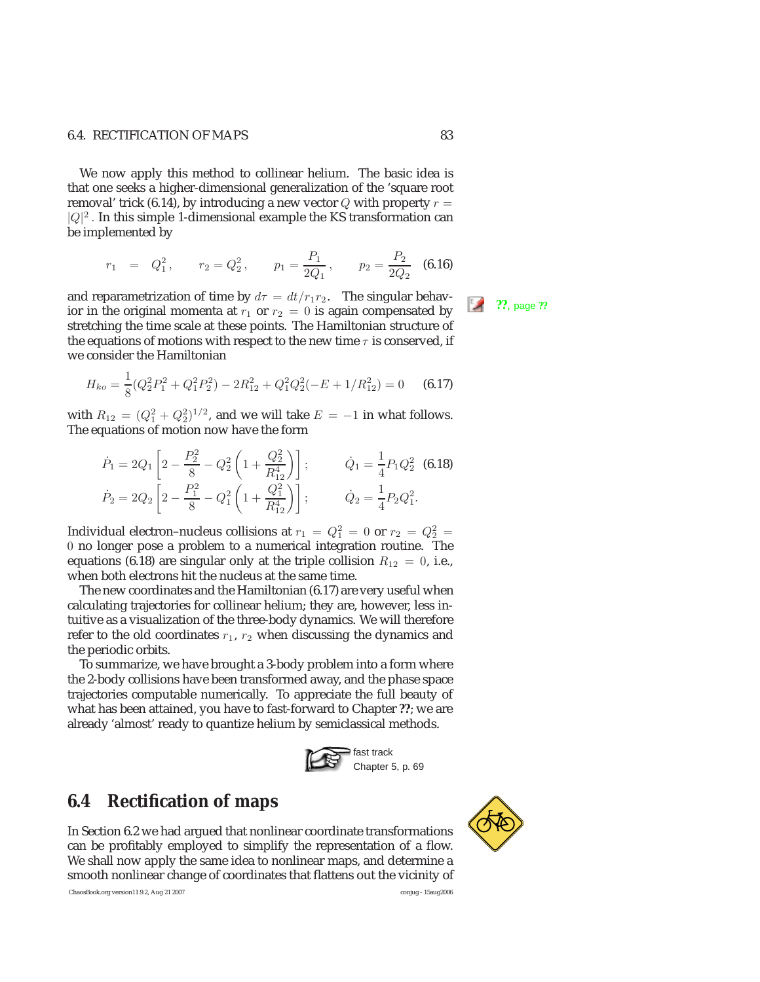#### 6.4. RECTIFICATION OF MAPS 83

We now apply this method to collinear helium. The basic idea is that one seeks a higher-dimensional generalization of the 'square root removal' trick (6.14), by introducing a new vector  $Q$  with property  $r =$  $|Q|^2$ . In this simple 1-dimensional example the KS transformation can be implemented by

$$
r_1 = Q_1^2
$$
,  $r_2 = Q_2^2$ ,  $p_1 = \frac{P_1}{2Q_1}$ ,  $p_2 = \frac{P_2}{2Q_2}$  (6.16)

and reparametrization of time by  $d\tau = dt/r_1r_2$ . The singular behav-<br>ior in the original momenta at  $r_1$  or  $r_2 = 0$  is again compensated by stretching the time scale at these points. The Hamiltonian structure of the equations of motions with respect to the new time  $\tau$  is conserved, if we consider the Hamiltonian

$$
H_{ko} = \frac{1}{8}(Q_2^2 P_1^2 + Q_1^2 P_2^2) - 2R_{12}^2 + Q_1^2 Q_2^2(-E + 1/R_{12}^2) = 0
$$
 (6.17)

with  $R_{12} = (Q_1^2 + Q_2^2)^{1/2}$ , and we will take  $E = -1$  in what follows. The equations of motion now have the form

$$
\dot{P}_1 = 2Q_1 \left[ 2 - \frac{P_2^2}{8} - Q_2^2 \left( 1 + \frac{Q_2^2}{R_{12}^4} \right) \right]; \qquad \dot{Q}_1 = \frac{1}{4} P_1 Q_2^2 \tag{6.18}
$$
\n
$$
\dot{P}_2 = 2Q_2 \left[ 2 - \frac{P_1^2}{8} - Q_1^2 \left( 1 + \frac{Q_1^2}{R_{12}^4} \right) \right]; \qquad \dot{Q}_2 = \frac{1}{4} P_2 Q_1^2.
$$

Individual electron-nucleus collisions at  $r_1 = Q_1^2 = 0$  or  $r_2 = Q_2^2 = 1$ 0 no longer pose a problem to a numerical integration routine. The equations (6.18) are singular only at the triple collision  $R_{12} = 0$ , i.e., when both electrons hit the nucleus at the same time.

The new coordinates and the Hamiltonian (6.17) are very useful when calculating trajectories for collinear helium; they are, however, less intuitive as a visualization of the three-body dynamics. We will therefore refer to the old coordinates  $r_1$ ,  $r_2$  when discussing the dynamics and the periodic orbits.

To summarize, we have brought a 3-body problem into a form where the 2-body collisions have been transformed away, and the phase space trajectories computable numerically. To appreciate the full beauty of what has been attained, you have to fast-forward to Chapter **??**; we are already 'almost' ready to quantize helium by semiclassical methods.



### **6.4 Rectification of maps**

In Section 6.2 we had argued that nonlinear coordinate transformations can be profitably employed to simplify the representation of a flow. We shall now apply the same idea to nonlinear maps, and determine a smooth nonlinear change of coordinates that flattens out the vicinity of

ChaosBook.org version11.9.2, Aug 21 2007 conjug - 15aug2006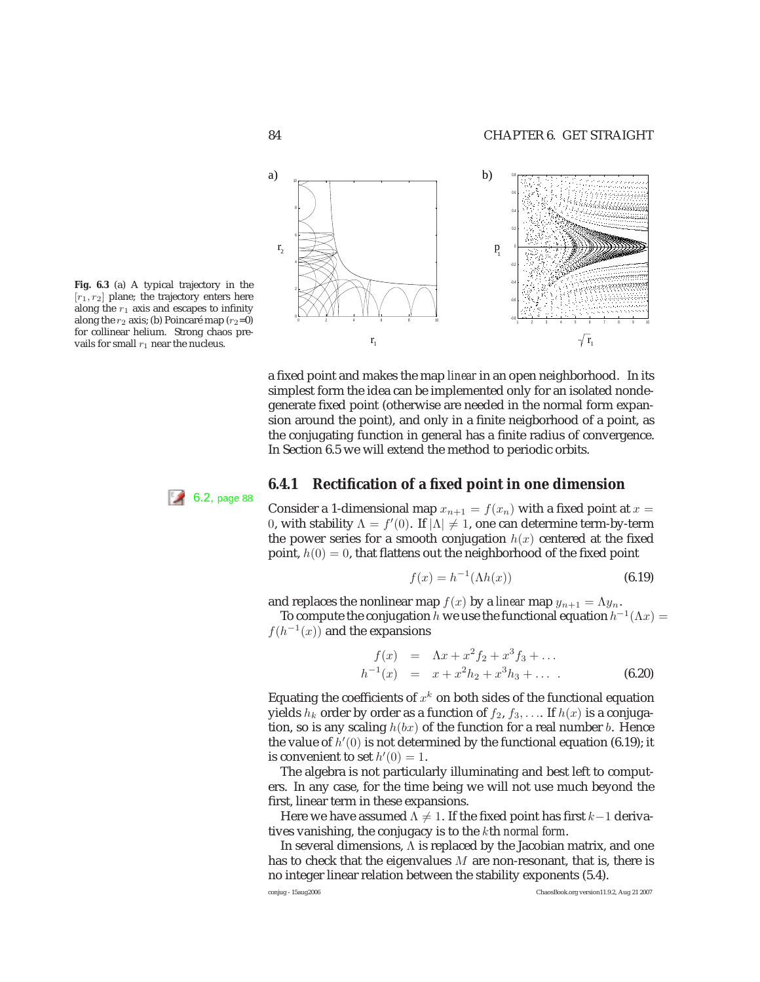

a fixed point and makes the map *linear* in an open neighborhood. In its simplest form the idea can be implemented only for an isolated nondegenerate fixed point (otherwise are needed in the normal form expansion around the point), and only in a finite neigborhood of a point, as the conjugating function in general has a finite radius of convergence. In Section 6.5 we will extend the method to periodic orbits.



Consider a 1-dimensional map  $x_{n+1} = f(x_n)$  with a fixed point at  $x =$ 0, with stability  $Λ = f'(0)$ . If  $|Λ| ≠ 1$ , one can determine term-by-term the power series for a smooth conjugation  $h(x)$  centered at the fixed point,  $h(0) = 0$ , that flattens out the neighborhood of the fixed point

$$
f(x) = h^{-1}(\Lambda h(x))
$$
\n(6.19)

and replaces the nonlinear map  $f(x)$  by a *linear* map  $y_{n+1} = \Lambda y_n$ .

To compute the conjugation h we use the functional equation  $h^{-1}(\Lambda x) =$  $f(h^{-1}(x))$  and the expansions

$$
f(x) = \Lambda x + x^2 f_2 + x^3 f_3 + \dots
$$
  
\n
$$
h^{-1}(x) = x + x^2 h_2 + x^3 h_3 + \dots
$$
 (6.20)

Equating the coefficients of  $x^k$  on both sides of the functional equation yields  $h_k$  order by order as a function of  $f_2, f_3, \ldots$  If  $h(x)$  is a conjugation, so is any scaling  $h(bx)$  of the function for a real number b. Hence the value of  $h'(0)$  is not determined by the functional equation (6.19); it is convenient to set  $h'(0) = 1$ .

The algebra is not particularly illuminating and best left to computers. In any case, for the time being we will not use much beyond the first, linear term in these expansions.

Here we have assumed  $\Lambda \neq 1.$  If the fixed point has first  $k{-}1$  derivatives vanishing, the conjugacy is to the kth *normal form*.

In several dimensions, Λ is replaced by the Jacobian matrix, and one has to check that the eigenvalues  $M$  are non-resonant, that is, there is no integer linear relation between the stability exponents (5.4).

**Fig. 6.3** (a) A typical trajectory in the  $[r_1, r_2]$  plane; the trajectory enters here along the  $r_1$  axis and escapes to infinity along the  $r_2$  axis; (b) Poincaré map ( $r_2=0$ ) for collinear helium. Strong chaos prevails for small  $r_1$  near the nucleus.

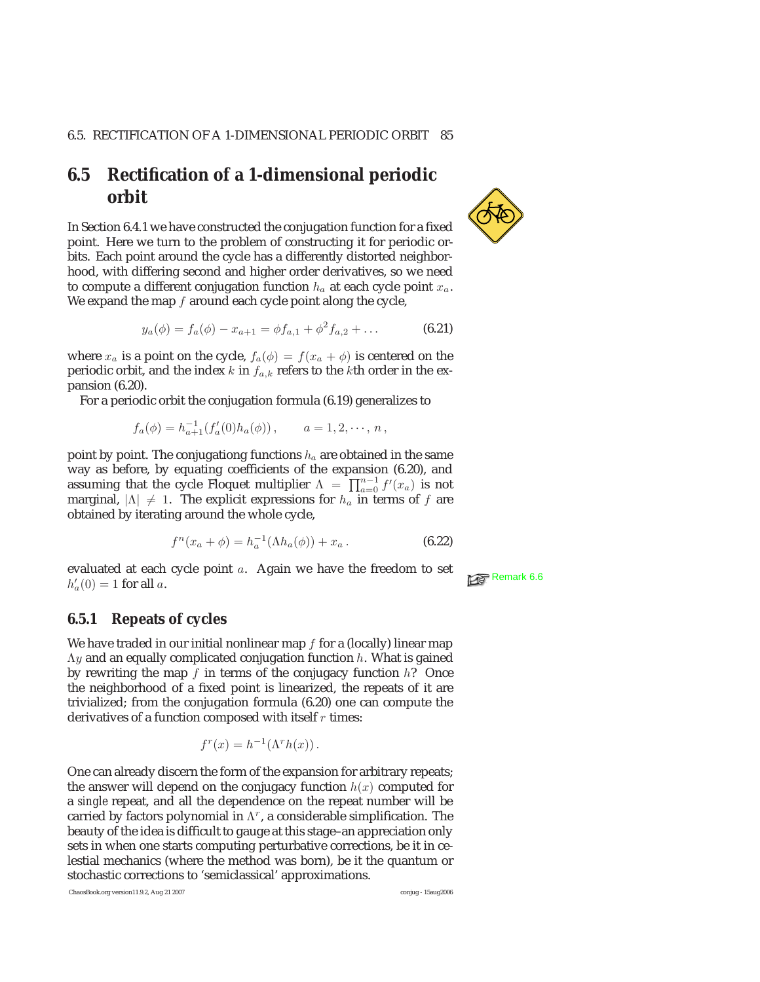### **6.5 Rectification of a 1-dimensional periodic orbit**

In Section 6.4.1 we have constructed the conjugation function for a fixed point. Here we turn to the problem of constructing it for periodic orbits. Each point around the cycle has a differently distorted neighborhood, with differing second and higher order derivatives, so we need to compute a different conjugation function  $h_a$  at each cycle point  $x_a$ . We expand the map  $f$  around each cycle point along the cycle,

$$
y_a(\phi) = f_a(\phi) - x_{a+1} = \phi f_{a,1} + \phi^2 f_{a,2} + \dots
$$
 (6.21)

where  $x_a$  is a point on the cycle,  $f_a(\phi) = f(x_a + \phi)$  is centered on the periodic orbit, and the index k in  $f_{a,k}$  refers to the kth order in the expansion (6.20).

For a periodic orbit the conjugation formula (6.19) generalizes to

$$
f_a(\phi) = h_{a+1}^{-1}(f'_a(0)h_a(\phi)), \qquad a = 1, 2, \cdots, n,
$$

point by point. The conjugationg functions  $h_a$  are obtained in the same way as before, by equating coefficients of the expansion (6.20), and assuming that the cycle Floquet multiplier  $\Lambda = \prod_{a=0}^{n-1} f'(x_a)$  is not marginal,  $|\Lambda| \neq 1$ . The explicit expressions for  $h_a$  in terms of  $f$  are obtained by iterating around the whole cycle,

$$
f^{n}(x_{a} + \phi) = h_{a}^{-1}(\Lambda h_{a}(\phi)) + x_{a}.
$$
 (6.22)

evaluated at each cycle point *a*. Again we have the freedom to set  $h'(0) = 1$  for all  $\epsilon$  $h'_a(0) = 1$  for all a.

#### **6.5.1 Repeats of cycles**

We have traded in our initial nonlinear map  $f$  for a (locally) linear map  $\Lambda$ y and an equally complicated conjugation function h. What is gained by rewriting the map  $f$  in terms of the conjugacy function  $h$ ? Once the neighborhood of a fixed point is linearized, the repeats of it are trivialized; from the conjugation formula (6.20) one can compute the derivatives of a function composed with itself  $r$  times:

$$
f^r(x) = h^{-1}(\Lambda^r h(x)).
$$

One can already discern the form of the expansion for arbitrary repeats; the answer will depend on the conjugacy function  $h(x)$  computed for a *single* repeat, and all the dependence on the repeat number will be carried by factors polynomial in  $\Lambda^r$ , a considerable simplification. The beauty of the idea is difficult to gauge at this stage–an appreciation only sets in when one starts computing perturbative corrections, be it in celestial mechanics (where the method was born), be it the quantum or stochastic corrections to 'semiclassical' approximations.

ChaosBook.org version11.9.2, Aug 21 2007 conjug - 15aug2006



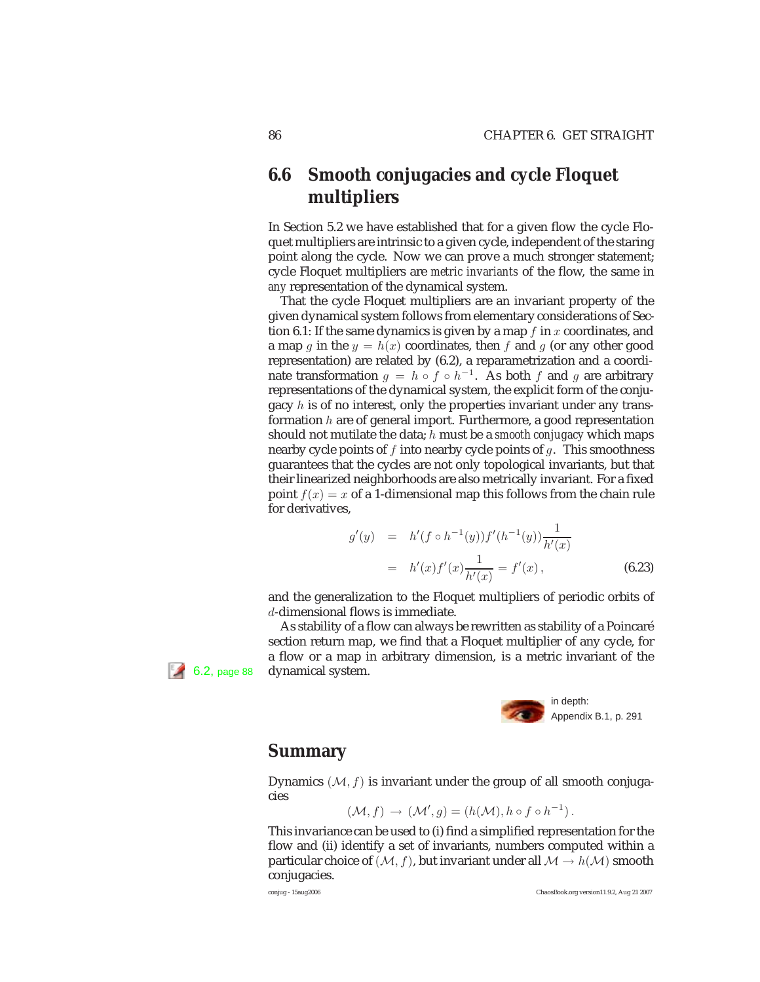## **6.6 Smooth conjugacies and cycle Floquet multipliers**

In Section 5.2 we have established that for a given flow the cycle Floquet multipliers are intrinsic to a given cycle, independent of the staring point along the cycle. Now we can prove a much stronger statement; cycle Floquet multipliers are *metric invariants* of the flow, the same in *any* representation of the dynamical system.

That the cycle Floquet multipliers are an invariant property of the given dynamical system follows from elementary considerations of Section 6.1: If the same dynamics is given by a map  $f$  in  $x$  coordinates, and a map g in the  $y = h(x)$  coordinates, then f and g (or any other good representation) are related by (6.2), a reparametrization and a coordinate transformation  $g = h \circ f \circ h^{-1}$ . As both f and g are arbitrary representations of the dynamical system, the explicit form of the conjugacy  $h$  is of no interest, only the properties invariant under any transformation  $h$  are of general import. Furthermore, a good representation should not mutilate the data; h must be a *smooth conjugacy* which maps nearby cycle points of  $f$  into nearby cycle points of  $g$ . This smoothness guarantees that the cycles are not only topological invariants, but that their linearized neighborhoods are also metrically invariant. For a fixed point  $f(x) = x$  of a 1-dimensional map this follows from the chain rule for derivatives,

$$
g'(y) = h'(f \circ h^{-1}(y))f'(h^{-1}(y))\frac{1}{h'(x)}
$$
  
=  $h'(x)f'(x)\frac{1}{h'(x)} = f'(x),$  (6.23)

and the generalization to the Floquet multipliers of periodic orbits of d-dimensional flows is immediate.

As stability of a flow can always be rewritten as stability of a Poincaré section return map, we find that a Floquet multiplier of any cycle, for a flow or a map in arbitrary dimension, is a metric invariant of the 6.2, page 88 dynamical system.



### **Summary**

Dynamics  $(M, f)$  is invariant under the group of all smooth conjugacies

$$
(\mathcal{M}, f) \to (\mathcal{M}', g) = (h(\mathcal{M}), h \circ f \circ h^{-1}).
$$

This invariance can be used to (i) find a simplified representation for the flow and (ii) identify a set of invariants, numbers computed within a particular choice of  $(M, f)$ , but invariant under all  $M \rightarrow h(M)$  smooth conjugacies.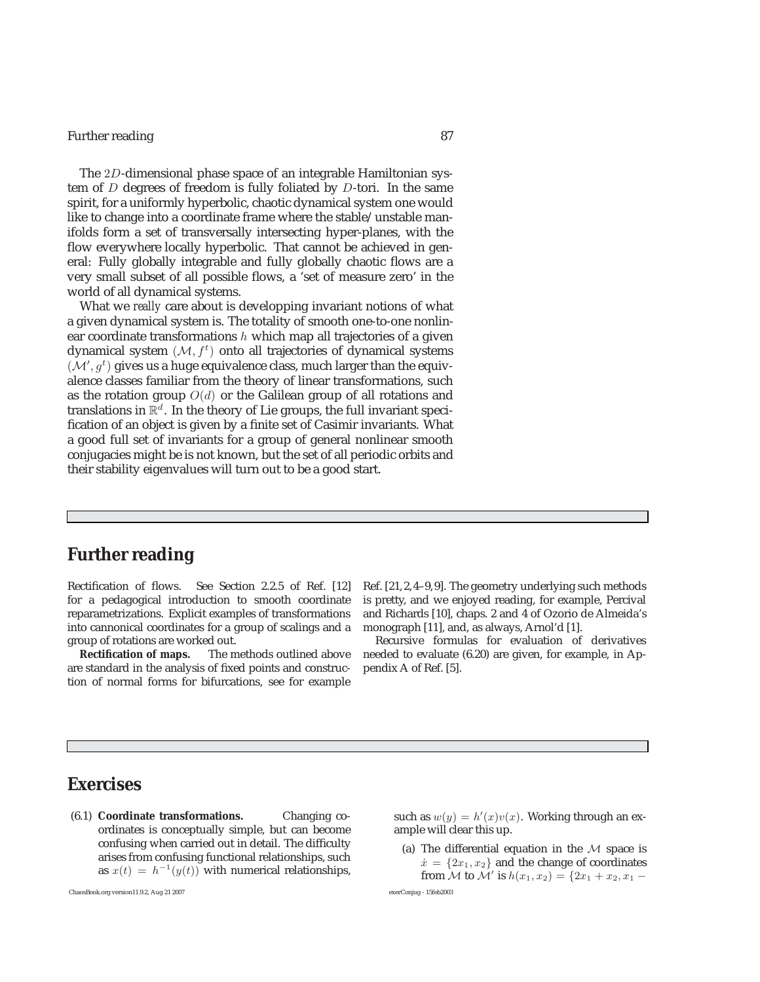#### Further reading 87

The 2D-dimensional phase space of an integrable Hamiltonian system of  $D$  degrees of freedom is fully foliated by  $D$ -tori. In the same spirit, for a uniformly hyperbolic, chaotic dynamical system one would like to change into a coordinate frame where the stable/unstable manifolds form a set of transversally intersecting hyper-planes, with the flow everywhere locally hyperbolic. That cannot be achieved in general: Fully globally integrable and fully globally chaotic flows are a very small subset of all possible flows, a 'set of measure zero' in the world of all dynamical systems.

What we *really* care about is developping invariant notions of what a given dynamical system is. The totality of smooth one-to-one nonlinear coordinate transformations  $h$  which map all trajectories of a given dynamical system  $(M, f<sup>t</sup>)$  onto all trajectories of dynamical systems  $(\mathcal{M}', g^t)$  gives us a huge equivalence class, much larger than the equivalence classes familiar from the theory of linear transformations, such as the rotation group  $O(d)$  or the Galilean group of all rotations and translations in  $\mathbb{R}^d$ . In the theory of Lie groups, the full invariant specification of an object is given by a finite set of Casimir invariants. What a good full set of invariants for a group of general nonlinear smooth conjugacies might be is not known, but the set of all periodic orbits and their stability eigenvalues will turn out to be a good start.

### **Further reading**

Rectification of flows. See Section 2.2.5 of Ref. [12] for a pedagogical introduction to smooth coordinate reparametrizations. Explicit examples of transformations into cannonical coordinates for a group of scalings and a group of rotations are worked out.

**Rectification of maps.** The methods outlined above are standard in the analysis of fixed points and construction of normal forms for bifurcations, see for example

Ref. [21,2,4–9,9]. The geometry underlying such methods is pretty, and we enjoyed reading, for example, Percival and Richards [10], chaps. 2 and 4 of Ozorio de Almeida's monograph [11], and, as always, Arnol'd [1].

Recursive formulas for evaluation of derivatives needed to evaluate (6.20) are given, for example, in Appendix A of Ref. [5].

### **Exercises**

(6.1) **Coordinate transformations.** Changing coordinates is conceptually simple, but can become confusing when carried out in detail. The difficulty arises from confusing functional relationships, such as  $x(t) = h^{-1}(y(t))$  with numerical relationships,

ChaosBook.org version11.9.2, Aug 21 2007 exerConjug - 15feb2003

such as  $w(y) = h'(x)v(x)$ . Working through an ex-<br>ample will clear this up ample will clear this up.

(a) The differential equation in the  $M$  space is  $\dot{x} = \{2x_1, x_2\}$  and the change of coordinates from *M* to *M'* is  $h(x_1, x_2) = \{2x_1 + x_2, x_1 -$